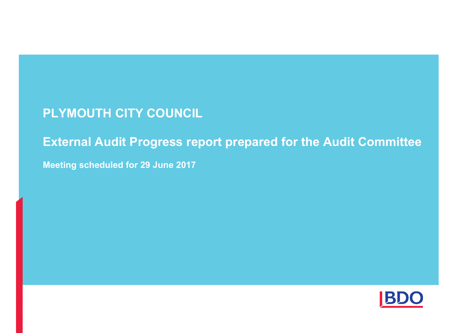# **PLYMOUTH CITY COUNCIL**

# **External Audit Progress report prepared for the Audit Committee**

**Meeting scheduled for 29 June 2017**

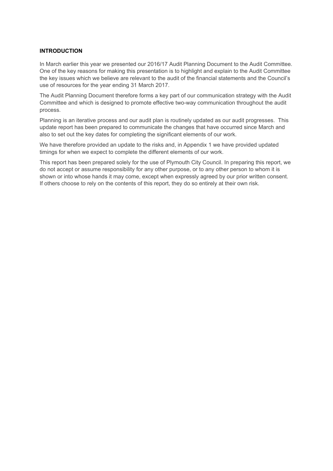# **INTRODUCTION**

In March earlier this year we presented our 2016/17 Audit Planning Document to the Audit Committee. One of the key reasons for making this presentation is to highlight and explain to the Audit Committee the key issues which we believe are relevant to the audit of the financial statements and the Council's use of resources for the year ending 31 March 2017.

The Audit Planning Document therefore forms a key part of our communication strategy with the Audit Committee and which is designed to promote effective two-way communication throughout the audit process.

Planning is an iterative process and our audit plan is routinely updated as our audit progresses. This update report has been prepared to communicate the changes that have occurred since March and also to set out the key dates for completing the significant elements of our work.

We have therefore provided an update to the risks and, in Appendix 1 we have provided updated timings for when we expect to complete the different elements of our work.

This report has been prepared solely for the use of Plymouth City Council. In preparing this report, we do not accept or assume responsibility for any other purpose, or to any other person to whom it is shown or into whose hands it may come, except when expressly agreed by our prior written consent. If others choose to rely on the contents of this report, they do so entirely at their own risk.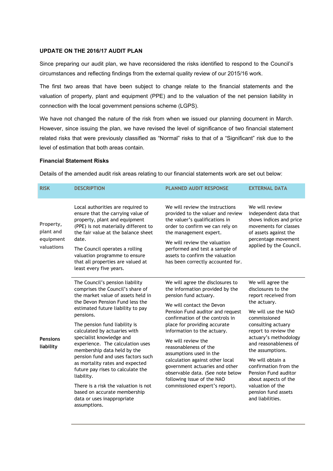### **UPDATE ON THE 2016/17 AUDIT PLAN**

Since preparing our audit plan, we have reconsidered the risks identified to respond to the Council's circumstances and reflecting findings from the external quality review of our 2015/16 work.

The first two areas that have been subject to change relate to the financial statements and the valuation of property, plant and equipment (PPE) and to the valuation of the net pension liability in connection with the local government pensions scheme (LGPS).

We have not changed the nature of the risk from when we issued our planning document in March. However, since issuing the plan, we have revised the level of significance of two financial statement related risks that were previously classified as "Normal" risks to that of a "Significant" risk due to the level of estimation that both areas contain.

## **Financial Statement Risks**

Details of the amended audit risk areas relating to our financial statements work are set out below:

| <b>RISK</b>                                       | <b>DESCRIPTION</b>                                                                                                                                                                                                                                                                                                                                                                                                                                                                                                                                                                                               | <b>PLANNED AUDIT RESPONSE</b>                                                                                                                                                                                                                                                                                                                                                                                                                                                                                      | <b>EXTERNAL DATA</b>                                                                                                                                                                                                                                                                                                                                                                                   |
|---------------------------------------------------|------------------------------------------------------------------------------------------------------------------------------------------------------------------------------------------------------------------------------------------------------------------------------------------------------------------------------------------------------------------------------------------------------------------------------------------------------------------------------------------------------------------------------------------------------------------------------------------------------------------|--------------------------------------------------------------------------------------------------------------------------------------------------------------------------------------------------------------------------------------------------------------------------------------------------------------------------------------------------------------------------------------------------------------------------------------------------------------------------------------------------------------------|--------------------------------------------------------------------------------------------------------------------------------------------------------------------------------------------------------------------------------------------------------------------------------------------------------------------------------------------------------------------------------------------------------|
| Property,<br>plant and<br>equipment<br>valuations | Local authorities are required to<br>ensure that the carrying value of<br>property, plant and equipment<br>(PPE) is not materially different to<br>the fair value at the balance sheet<br>date.<br>The Council operates a rolling<br>valuation programme to ensure<br>that all properties are valued at<br>least every five years.                                                                                                                                                                                                                                                                               | We will review the instructions<br>provided to the valuer and review<br>the valuer's qualifications in<br>order to confirm we can rely on<br>the management expert.<br>We will review the valuation<br>performed and test a sample of<br>assets to confirm the valuation<br>has been correctly accounted for.                                                                                                                                                                                                      | We will review<br>independent data that<br>shows indices and price<br>movements for classes<br>of assets against the<br>percentage movement<br>applied by the Council.                                                                                                                                                                                                                                 |
| <b>Pensions</b><br>liability                      | The Council's pension liability<br>comprises the Council's share of<br>the market value of assets held in<br>the Devon Pension Fund less the<br>estimated future liability to pay<br>pensions.<br>The pension fund liability is<br>calculated by actuaries with<br>specialist knowledge and<br>experience. The calculation uses<br>membership data held by the<br>pension fund and uses factors such<br>as mortality rates and expected<br>future pay rises to calculate the<br>liability.<br>There is a risk the valuation is not<br>based on accurate membership<br>data or uses inappropriate<br>assumptions. | We will agree the disclosures to<br>the information provided by the<br>pension fund actuary.<br>We will contact the Devon<br>Pension Fund auditor and request<br>confirmation of the controls in<br>place for providing accurate<br>information to the actuary.<br>We will review the<br>reasonableness of the<br>assumptions used in the<br>calculation against other local<br>government actuaries and other<br>observable data. (See note below<br>following issue of the NAO<br>commissioned expert's report). | We will agree the<br>disclosures to the<br>report received from<br>the actuary.<br>We will use the NAO<br>commissioned<br>consulting actuary<br>report to review the<br>actuary's methodology<br>and reasonableness of<br>the assumptions.<br>We will obtain a<br>confirmation from the<br>Pension Fund auditor<br>about aspects of the<br>valuation of the<br>pension fund assets<br>and liabilities. |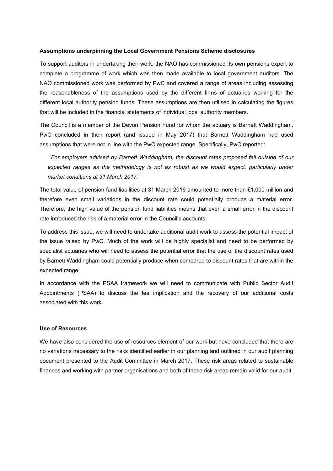#### **Assumptions underpinning the Local Government Pensions Scheme disclosures**

To support auditors in undertaking their work, the NAO has commissioned its own pensions expert to complete a programme of work which was then made available to local government auditors. The NAO commissioned work was performed by PwC and covered a range of areas including assessing the reasonableness of the assumptions used by the different firms of actuaries working for the different local authority pension funds. These assumptions are then utilised in calculating the figures that will be included in the financial statements of individual local authority members.

The Council is a member of the Devon Pension Fund for whom the actuary is Barnett Waddingham. PwC concluded in their report (and issued in May 2017) that Barnett Waddingham had used assumptions that were not in line with the PwC expected range. Specifically, PwC reported:

*"For employers advised by Barnett Waddingham, the discount rates proposed fall outside of our expected ranges as the methodology is not as robust as we would expect, particularly under market conditions at 31 March 2017."* 

The total value of pension fund liabilities at 31 March 2016 amounted to more than £1,000 million and therefore even small variations in the discount rate could potentially produce a material error. Therefore, the high value of the pension fund liabilities means that even a small error in the discount rate introduces the risk of a material error in the Council's accounts.

To address this issue, we will need to undertake additional audit work to assess the potential impact of the issue raised by PwC. Much of the work will be highly specialist and need to be performed by specialist actuaries who will need to assess the potential error that the use of the discount rates used by Barnett Waddingham could potentially produce when compared to discount rates that are within the expected range.

In accordance with the PSAA framework we will need to communicate with Public Sector Audit Appointments (PSAA) to discuss the fee implication and the recovery of our additional costs associated with this work.

## **Use of Resources**

We have also considered the use of resources element of our work but have concluded that there are no variations necessary to the risks identified earlier in our planning and outlined in our audit planning document presented to the Audit Committee in March 2017. These risk areas related to sustainable finances and working with partner organisations and both of these risk areas remain valid for our audit.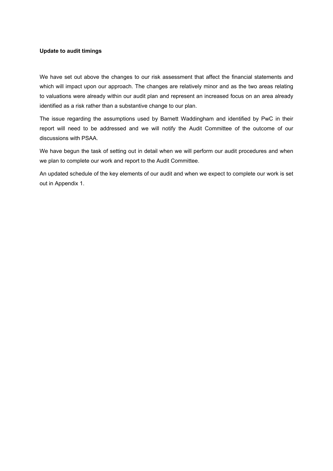## **Update to audit timings**

We have set out above the changes to our risk assessment that affect the financial statements and which will impact upon our approach. The changes are relatively minor and as the two areas relating to valuations were already within our audit plan and represent an increased focus on an area already identified as a risk rather than a substantive change to our plan.

The issue regarding the assumptions used by Barnett Waddingham and identified by PwC in their report will need to be addressed and we will notify the Audit Committee of the outcome of our discussions with PSAA.

We have begun the task of setting out in detail when we will perform our audit procedures and when we plan to complete our work and report to the Audit Committee.

An updated schedule of the key elements of our audit and when we expect to complete our work is set out in Appendix 1.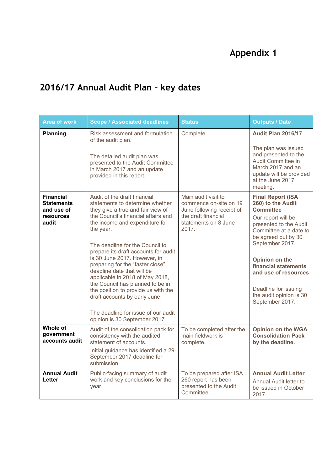# **Appendix 1**

# **2016/17 Annual Audit Plan – key dates**

| <b>Area of work</b>                                                       | <b>Scope / Associated deadlines</b>                                                                                                                                                                                                                                                                                                                                                                                                                                                                                                                                                            | <b>Status</b>                                                                                                                      | <b>Outputs / Date</b>                                                                                                                                                                                                                                                                                                         |
|---------------------------------------------------------------------------|------------------------------------------------------------------------------------------------------------------------------------------------------------------------------------------------------------------------------------------------------------------------------------------------------------------------------------------------------------------------------------------------------------------------------------------------------------------------------------------------------------------------------------------------------------------------------------------------|------------------------------------------------------------------------------------------------------------------------------------|-------------------------------------------------------------------------------------------------------------------------------------------------------------------------------------------------------------------------------------------------------------------------------------------------------------------------------|
| Planning                                                                  | Risk assessment and formulation<br>of the audit plan.<br>The detailed audit plan was<br>presented to the Audit Committee<br>in March 2017 and an update<br>provided in this report.                                                                                                                                                                                                                                                                                                                                                                                                            | Complete                                                                                                                           | <b>Audit Plan 2016/17</b><br>The plan was issued<br>and presented to the<br>Audit Committee in<br>March 2017 and an<br>update will be provided<br>at the June 2017<br>meeting.                                                                                                                                                |
| <b>Financial</b><br><b>Statements</b><br>and use of<br>resources<br>audit | Audit of the draft financial<br>statements to determine whether<br>they give a true and fair view of<br>the Council's financial affairs and<br>the income and expenditure for<br>the year.<br>The deadline for the Council to<br>prepare its draft accounts for audit<br>is 30 June 2017. However, in<br>preparing for the "faster close"<br>deadline date that will be<br>applicable in 2018 of May 2018,<br>the Council has planned to be in<br>the position to provide us with the<br>draft accounts by early June.<br>The deadline for issue of our audit<br>opinion is 30 September 2017. | Main audit visit to<br>commence on-site on 19<br>June following receipt of<br>the draft financial<br>statements on 8 June<br>2017. | <b>Final Report (ISA</b><br>260) to the Audit<br><b>Committee</b><br>Our report will be<br>presented to the Audit<br>Committee at a date to<br>be agreed but by 30<br>September 2017.<br>Opinion on the<br>financial statements<br>and use of resources<br>Deadline for issuing<br>the audit opinion is 30<br>September 2017. |
| Whole of<br>government<br>accounts audit                                  | Audit of the consolidation pack for<br>consistency with the audited<br>statement of accounts.<br>Initial guidance has identified a 29<br>September 2017 deadline for<br>submission.                                                                                                                                                                                                                                                                                                                                                                                                            | To be completed after the<br>main fieldwork is<br>complete.                                                                        | <b>Opinion on the WGA</b><br><b>Consolidation Pack</b><br>by the deadline.                                                                                                                                                                                                                                                    |
| <b>Annual Audit</b><br>Letter                                             | Public-facing summary of audit<br>work and key conclusions for the<br>year.                                                                                                                                                                                                                                                                                                                                                                                                                                                                                                                    | To be prepared after ISA<br>260 report has been<br>presented to the Audit<br>Committee.                                            | <b>Annual Audit Letter</b><br>Annual Audit letter to<br>be issued in October<br>2017.                                                                                                                                                                                                                                         |